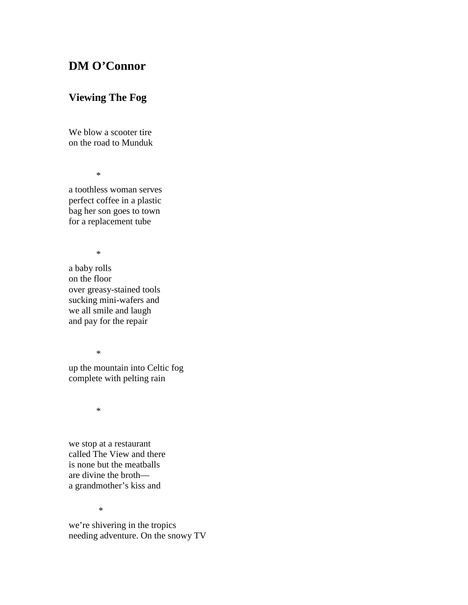## **DM O'Connor**

## **Viewing The Fog**

We blow a scooter tire on the road to Munduk

\*

a toothless woman serves perfect coffee in a plastic bag her son goes to town for a replacement tube

\*

a baby rolls on the floor over greasy-stained tools sucking mini-wafers and we all smile and laugh and pay for the repair

\*

up the mountain into Celtic fog complete with pelting rain

\*

we stop at a restaurant called The View and there is none but the meatballs are divine the broth a grandmother's kiss and

\*

we're shivering in the tropics needing adventure. On the snowy TV